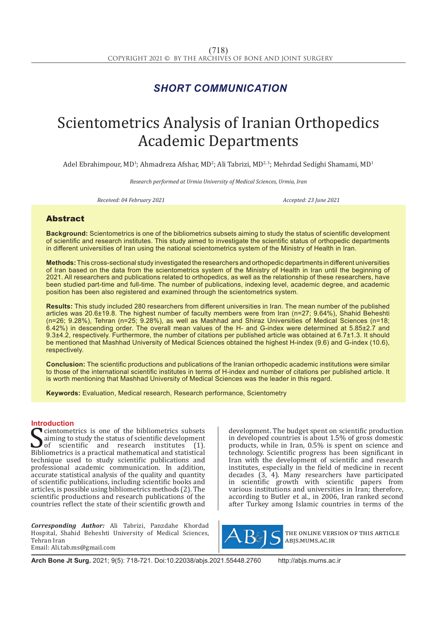# *SHORT COMMUNICATION*

# Scientometrics Analysis of Iranian Orthopedics Academic Departments

Adel Ebrahimpour, MD<sup>1</sup>; Ahmadreza Afshar, MD<sup>2</sup>; Ali Tabrizi, MD<sup>2, 3</sup>; Mehrdad Sedighi Shamami, MD<sup>1</sup>

*Research performed at Urmia University of Medical Sciences, Urmia, Iran*

*Received: 04 February 2021 Accepted: 23 June 2021*

## Abstract

**Background:** Scientometrics is one of the bibliometrics subsets aiming to study the status of scientific development of scientific and research institutes. This study aimed to investigate the scientific status of orthopedic departments in different universities of Iran using the national scientometrics system of the Ministry of Health in Iran.

**Methods:** This cross-sectional study investigated the researchers and orthopedic departments in different universities of Iran based on the data from the scientometrics system of the Ministry of Health in Iran until the beginning of 2021. All researchers and publications related to orthopedics, as well as the relationship of these researchers, have been studied part-time and full-time. The number of publications, indexing level, academic degree, and academic position has been also registered and examined through the scientometrics system.

**Results:** This study included 280 researchers from different universities in Iran. The mean number of the published articles was 20.6±19.8. The highest number of faculty members were from Iran (n=27; 9.64%), Shahid Beheshti (n=26; 9.28%), Tehran (n=25; 9.28%), as well as Mashhad and Shiraz Universities of Medical Sciences (n=18; 6.42%) in descending order. The overall mean values of the H- and G-index were determined at 5.85±2.7 and 9.3±4.2, respectively. Furthermore, the number of citations per published article was obtained at 6.7±1.3. It should be mentioned that Mashhad University of Medical Sciences obtained the highest H-index (9.6) and G-index (10.6), respectively.

**Conclusion:** The scientific productions and publications of the Iranian orthopedic academic institutions were similar to those of the international scientific institutes in terms of H-index and number of citations per published article. It is worth mentioning that Mashhad University of Medical Sciences was the leader in this regard.

**Keywords:** Evaluation, Medical research, Research performance, Scientometry

### **Introduction**

Something the statistical mathematics is a practical mathematical and statistical mathematical and statistical mathematical and statistical mathematical and statistical mathematical and statistical mathematical and statist cientometrics is one of the bibliometrics subsets aiming to study the status of scientific development<br>of scientific and research institutes (1). scientific and research institutes technique used to study scientific publications and professional academic communication. In addition, accurate statistical analysis of the quality and quantity of scientific publications, including scientific books and articles, is possible using bibliometrics methods (2). The scientific productions and research publications of the countries reflect the state of their scientific growth and

*Corresponding Author:* Ali Tabrizi, Panzdahe Khordad Hospital, Shahid Beheshti University of Medical Sciences, Tehran Iran Email: Ali.tab.ms@gmail.com

development. The budget spent on scientific production in developed countries is about 1.5% of gross domestic products, while in Iran, 0.5% is spent on science and technology. Scientific progress has been significant in Iran with the development of scientific and research institutes, especially in the field of medicine in recent decades  $(3, 4)$ . Many researchers have participated<br>in scientific growth with scientific papers from scientific growth with scientific papers from various institutions and universities in Iran; therefore, according to Butler et al., in 2006, Iran ranked second after Turkey among Islamic countries in terms of the



the online version of this article abjs.mums.ac.ir

**Arch Bone Jt Surg.** 2021; 9(5): 718-721. Doi:10.22038/abjs.2021.55448.2760 http://abjs.mums.ac.ir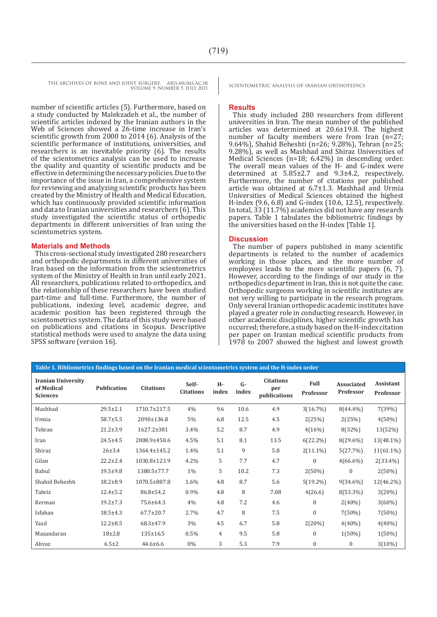THE ARCHIVES OF BONE AND JOINT SURGERY. ABJS.MUMS.AC.IR SCIENTOMETRIC ANALYSIS OF IRANIAN ORTHOPEDICS VOLUME 9. NUMBER 5. JULY 2021

number of scientific articles (5). Furthermore, based on a study conducted by Malekzadeh et al., the number of scientific articles indexed by the Iranian authors in the Web of Sciences showed a 26-time increase in Iran's scientific growth from 2000 to 2014 (6). Analysis of the scientific performance of institutions, universities, and researchers is an inevitable priority (6). The results of the scientometrics analysis can be used to increase the quality and quantity of scientific products and be effective in determining the necessary policies. Due to the importance of the issue in Iran, a comprehensive system for reviewing and analyzing scientific products has been created by the Ministry of Health and Medical Education, which has continuously provided scientific information and data to Iranian universities and researchers (6). This study investigated the scientific status of orthopedic departments in different universities of Iran using the scientometrics system.

#### **Materials and Methods**

This cross-sectional study investigated 280 researchers and orthopedic departments in different universities of Iran based on the information from the scientometrics system of the Ministry of Health in Iran until early 2021. All researchers, publications related to orthopedics, and the relationship of these researchers have been studied part-time and full-time. Furthermore, the number of publications, indexing level, academic degree, and academic position has been registered through the scientometrics system. The data of this study were based on publications and citations in Scopus. Descriptive statistical methods were used to analyze the data using SPSS software (version 16).

#### **Results**

This study included 280 researchers from different universities in Iran. The mean number of the published articles was determined at 20.6±19.8. The highest number of faculty members were from Iran (n=27; 9.64%), Shahid Beheshti (n=26; 9.28%), Tehran (n=25; 9.28%), as well as Mashhad and Shiraz Universities of Medical Sciences (n=18; 6.42%) in descending order. The overall mean values of the H- and G-index were determined at 5.85±2.7 and 9.3±4.2, respectively. Furthermore, the number of citations per published article was obtained at 6.7±1.3. Mashhad and Urmia Universities of Medical Sciences obtained the highest H-index (9.6, 6.8) and G-index (10.6, 12.5), respectively. In total, 33 (11.7%) academics did not have any research papers. Table 1 tabulates the bibliometric findings by the universities based on the H-index [Table 1].

#### **Discussion**

The number of papers published in many scientific departments is related to the number of academics working in those places, and the more number of employees leads to the more scientific papers (6, 7). However, according to the findings of our study in the orthopedics department in Iran, this is not quite the case. Orthopedic surgeons working in scientific institutes are not very willing to participate in the research program. Only several Iranian orthopedic academic institutes have played a greater role in conducting research. However, in other academic disciplines, higher scientific growth has occurred; therefore, a study based on the H-index citation per paper on Iranian medical scientific products from 1978 to 2007 showed the highest and lowest growth

| Table 1. Bibliometrics findings based on the Iranian medical scientometrics system and the H-index order |                    |                  |                           |             |               |                                         |                   |                                |                        |
|----------------------------------------------------------------------------------------------------------|--------------------|------------------|---------------------------|-------------|---------------|-----------------------------------------|-------------------|--------------------------------|------------------------|
| <b>Iranian University</b><br>of Medical<br><b>Sciences</b>                                               | <b>Publication</b> | <b>Citations</b> | Self-<br><b>Citations</b> | H-<br>index | $G-$<br>index | <b>Citations</b><br>per<br>publications | Full<br>Professor | <b>Associated</b><br>Professor | Assistant<br>Professor |
| Mashhad                                                                                                  | $29.5 \pm 2.1$     | 1710.7±217.5     | 4%                        | 9.6         | 10.6          | 4.9                                     | 3(16.7%)          | $8(44.4\%)$                    | 7(39%)                 |
| Urmia                                                                                                    | $58.7 \pm 5.5$     | 2090±136.8       | 5%                        | 6.8         | 12.5          | 4.5                                     | 2(25%)            | 2(25%)                         | $4(50\%)$              |
| Tehran                                                                                                   | $21.2 \pm 3.9$     | 1627.2±381       | 3.4%                      | 5.2         | 8.7           | 4.9                                     | 4(16%)            | 8(32%)                         | 13(52%)                |
| Iran                                                                                                     | $24.5 + 4.5$       | 2008.9±458.6     | 4.5%                      | 5.1         | 8.1           | 13.5                                    | $6(22.2\%)$       | $8(29.6\%)$                    | 13(48.1%)              |
| Shiraz                                                                                                   | $26 \pm 3.4$       | 1364.4±145.2     | 1.4%                      | 5.1         | 9             | 5.8                                     | $2(11.1\%)$       | 5(27.7%)                       | $11(61.1\%)$           |
| Gilan                                                                                                    | $22.2 \pm 2.4$     | 1030.8±123.9     | $4.2\%$                   | 5           | 7.7           | 4.7                                     | $\mathbf{0}$      | $4(66.6\%)$                    | $2(33.4\%)$            |
| Babul                                                                                                    | $19.5 + 9.8$       | 1380.5±77.7      | 1%                        | 5           | 10.2          | 7.3                                     | $2(50\%)$         | $\mathbf{0}$                   | $2(50\%)$              |
| Shahid Beheshti                                                                                          | $18.2 \pm 8.9$     | 1070.5±887.8     | 1.6%                      | 4.8         | 8.7           | 5.6                                     | $5(19.2\%)$       | $9(34.6\%)$                    | $12(46.2\%)$           |
| Tabriz                                                                                                   | $12.4 \pm 5.2$     | 86.8±54.2        | 0.9%                      | 4.8         | 8             | 7.08                                    | 4(26.6)           | $8(53.3\%)$                    | 3(20%)                 |
| Kerman                                                                                                   | $19.2 \pm 7.3$     | 75.6±64.3        | 4%                        | 4.8         | 7.2           | 4.6                                     | $\mathbf{0}$      | $2(40\%)$                      | $3(60\%)$              |
| Isfahan                                                                                                  | $18.5 \pm 4.3$     | $67.7 \pm 20.7$  | 2.7%                      | 4.7         | 8             | 7.5                                     | $\mathbf{0}$      | $7(50\%)$                      | $7(50\%)$              |
| Yazd                                                                                                     | $12.2 \pm 8.5$     | 68.3±47.9        | 3%                        | 4.5         | 6.7           | 5.8                                     | 2(20%)            | $4(40\%)$                      | $4(40\%)$              |
| Mazandaran                                                                                               | $18+2.8$           | $135 \pm 16.5$   | 0.5%                      | 4           | 9.5           | 5.8                                     | $\mathbf{0}$      | $1(50\%)$                      | $1(50\%)$              |
| Ahvaz                                                                                                    | $6.5 \pm 2$        | $44.6 \pm 6.6$   | $0\%$                     | 3           | 5.3           | 7.9                                     | $\mathbf{0}$      | $\mathbf{0}$                   | 3(10%)                 |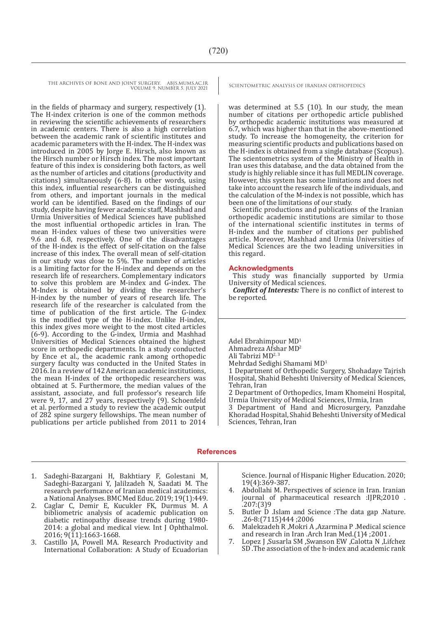THE ARCHIVES OF BONE AND JOINT SURGERY. ABJS.MUMS.AC.IR SCIENTOMETRIC ANALYSIS OF IRANIAN ORTHOPEDICS VOLUME 9. NUMBER 5. JULY 2021

in the fields of pharmacy and surgery, respectively (1). The H-index criterion is one of the common methods in reviewing the scientific achievements of researchers in academic centers. There is also a high correlation between the academic rank of scientific institutes and academic parameters with the H-index. The H-index was introduced in 2005 by Jorge E. Hirsch, also known as the Hirsch number or Hirsch index. The most important feature of this index is considering both factors, as well as the number of articles and citations (productivity and citations) simultaneously (6-8). In other words, using this index, influential researchers can be distinguished from others, and important journals in the medical world can be identified. Based on the findings of our study, despite having fewer academic staff, Mashhad and Urmia Universities of Medical Sciences have published the most influential orthopedic articles in Iran. The mean H-index values of these two universities were 9.6 and 6.8, respectively. One of the disadvantages of the H-index is the effect of self-citation on the false increase of this index. The overall mean of self-citation in our study was close to 5%. The number of articles is a limiting factor for the H-index and depends on the research life of researchers. Complementary indicators to solve this problem are M-index and G-index. The M-Index is obtained by dividing the researcher's H-index by the number of years of research life. The research life of the researcher is calculated from the time of publication of the first article. The G-index is the modified type of the H-index. Unlike H-index, this index gives more weight to the most cited articles (6-9). According to the G-index, Urmia and Mashhad Universities of Medical Sciences obtained the highest score in orthopedic departments. In a study conducted by Ence et al., the academic rank among orthopedic surgery faculty was conducted in the United States in 2016. In a review of 142 American academic institutions, the mean H-index of the orthopedic researchers was obtained at 5. Furthermore, the median values of the assistant, associate, and full professor's research life were 9, 17, and 27 years, respectively (9). Schoenfeld et al. performed a study to review the academic output of 282 spine surgery fellowships. The mean number of publications per article published from 2011 to 2014

was determined at 5.5 (10). In our study, the mean number of citations per orthopedic article published by orthopedic academic institutions was measured at 6.7, which was higher than that in the above-mentioned study. To increase the homogeneity, the criterion for measuring scientific products and publications based on the H-index is obtained from a single database (Scopus). The scientometrics system of the Ministry of Health in Iran uses this database, and the data obtained from the study is highly reliable since it has full MEDLIN coverage. However, this system has some limitations and does not take into account the research life of the individuals, and the calculation of the M-index is not possible, which has been one of the limitations of our study.

Scientific productions and publications of the Iranian orthopedic academic institutions are similar to those of the international scientific institutes in terms of H-index and the number of citations per published article. Moreover, Mashhad and Urmia Universities of Medical Sciences are the two leading universities in this regard.

#### **Acknowledgments**

This study was financially supported by Urmia University of Medical sciences.

*Conflict of Interests:* There is no conflict of interest to be reported.

Adel Ebrahimpour MD1 Ahmadreza Afshar MD2 Ali Tabrizi MD<sup>2, 3</sup> Mehrdad Sedighi Shamami MD<sup>1</sup> 1 Department of Orthopedic Surgery, Shohadaye Tajrish Hospital, Shahid Beheshti University of Medical Sciences, Tehran, Iran 2 Department of Orthopedics, Imam Khomeini Hospital, Urmia University of Medical Sciences, Urmia, Iran 3 Department of Hand and Microsurgery, Panzdahe Khoradad Hospital, Shahid Beheshti University of Medical Sciences, Tehran, Iran

#### **References**

- 1. Sadeghi-Bazargani H, Bakhtiary F, Golestani M, Sadeghi-Bazargani Y, Jalilzadeh N, Saadati M. The research performance of Iranian medical academics: a National Analyses. BMC Med Educ. 2019; 19(1):449.
- 2. Caglar C, Demir E, Kucukler FK, Durmus M. A bibliometric analysis of academic publication on diabetic retinopathy disease trends during 1980- 2014: a global and medical view. Int J Ophthalmol. 2016; 9(11):1663-1668.
- 3. Castillo JA, Powell MA. Research Productivity and International Collaboration: A Study of Ecuadorian

Science. Journal of Hispanic Higher Education. 2020; 19(4):369-387.

- 4. Abdollahi M. Perspectives of science in Iran. Iranian journal of pharmaceutical research :IJPR;2010 .<br>.207:(3)9
- 5. Butler D .Islam and Science :The data gap .Nature.<br>26-8:(7115)444 ;2006<br>6. Malekzadeh R Mokri A Azarmina P Medical science
- 6. Malekzadeh R ,Mokri A ,Azarmina P .Medical science and research in Iran .Arch Iran Med. $(1)4$ ; 2001.
- 7. Lopez J ,Susarla SM ,Swanson EW ,Calotta N ,Lifchez SD .The association of the h-index and academic rank